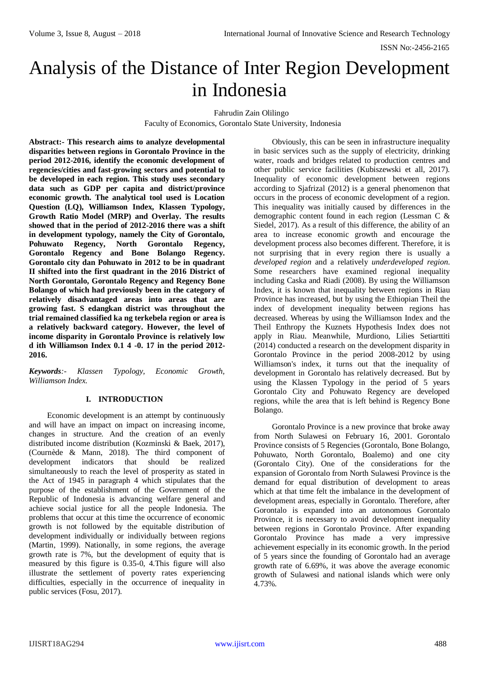# Analysis of the Distance of Inter Region Development in Indonesia

Fahrudin Zain Olilingo

Faculty of Economics, Gorontalo State University, Indonesia

**Abstract:- This research aims to analyze developmental disparities between regions in Gorontalo Province in the period 2012-2016, identify the economic development of regencies/cities and fast-growing sectors and potential to be developed in each region. This study uses secondary data such as GDP per capita and district/province economic growth. The analytical tool used is Location Question (LQ), Williamson Index, Klassen Typology, Growth Ratio Model (MRP) and Overlay. The results showed that in the period of 2012-2016 there was a shift in development typology, namely the City of Gorontalo, Pohuwato Regency, North Gorontalo Regency, Gorontalo Regency and Bone Bolango Regency. Gorontalo city dan Pohuwato in 2012 to be in quadrant II shifted into the first quadrant in the 2016 District of North Gorontalo, Gorontalo Regency and Regency Bone Bolango of which had previously been in the category of relatively disadvantaged areas into areas that are growing fast. S edangkan district was throughout the trial remained classified ka ng terkebela region or area is a relatively backward category. However, the level of income disparity in Gorontalo Province is relatively low d ith Williamson Index 0.1 4 -0. 17 in the period 2012- 2016.** 

*Keywords:- Klassen Typology, Economic Growth, Williamson Index.* 

#### **I. INTRODUCTION**

Economic development is an attempt by continuously and will have an impact on impact on increasing income, changes in structure. And the creation of an evenly distributed income distribution (Kozminski & Baek, 2017), (Cournède & Mann, 2018). The third component of development indicators that should be realized simultaneously to reach the level of prosperity as stated in the Act of 1945 in paragraph 4 which stipulates that the purpose of the establishment of the Government of the Republic of Indonesia is advancing welfare general and achieve social justice for all the people Indonesia. The problems that occur at this time the occurrence of economic growth is not followed by the equitable distribution of development individually or individually between regions (Martin, 1999). Nationally, in some regions, the average growth rate is 7%, but the development of equity that is measured by this figure is 0.35-0, 4.This figure will also illustrate the settlement of poverty rates experiencing difficulties, especially in the occurrence of inequality in public services (Fosu, 2017).

Obviously, this can be seen in infrastructure inequality in basic services such as the supply of electricity, drinking water, roads and bridges related to production centres and other public service facilities (Kubiszewski et all, 2017). Inequality of economic development between regions according to Sjafrizal (2012) is a general phenomenon that occurs in the process of economic development of a region. This inequality was initially caused by differences in the demographic content found in each region (Lessman C & Siedel, 2017). As a result of this difference, the ability of an area to increase economic growth and encourage the development process also becomes different. Therefore, it is not surprising that in every region there is usually a *developed region* and a relatively *underdeveloped region*. Some researchers have examined regional inequality including Caska and Riadi (2008). By using the Williamson Index, it is known that inequality between regions in Riau Province has increased, but by using the Ethiopian Theil the index of development inequality between regions has decreased. Whereas by using the Williamson Index and the Theil Enthropy the Kuznets Hypothesis Index does not apply in Riau. Meanwhile, Murdiono, Lilies Setiarttiti (2014) conducted a research on the development disparity in Gorontalo Province in the period 2008-2012 by using Williamson's index, it turns out that the inequality of development in Gorontalo has relatively decreased. But by using the Klassen Typology in the period of 5 years Gorontalo City and Pohuwato Regency are developed regions, while the area that is left behind is Regency Bone Bolango.

Gorontalo Province is a new province that broke away from North Sulawesi on February 16, 2001. Gorontalo Province consists of 5 Regencies (Gorontalo, Bone Bolango, Pohuwato, North Gorontalo, Boalemo) and one city (Gorontalo City). One of the considerations for the expansion of Gorontalo from North Sulawesi Province is the demand for equal distribution of development to areas which at that time felt the imbalance in the development of development areas, especially in Gorontalo. Therefore, after Gorontalo is expanded into an autonomous Gorontalo Province, it is necessary to avoid development inequality between regions in Gorontalo Province. After expanding Gorontalo Province has made a very impressive achievement especially in its economic growth. In the period of 5 years since the founding of Gorontalo had an average growth rate of 6.69%, it was above the average economic growth of Sulawesi and national islands which were only 4.73%.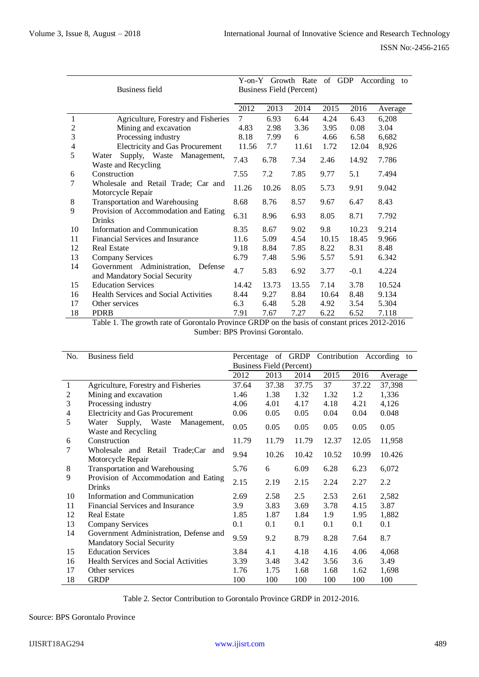|    |                                        |       |                          | Y-on-Y Growth Rate of GDP |       |        | According to |  |  |  |  |  |
|----|----------------------------------------|-------|--------------------------|---------------------------|-------|--------|--------------|--|--|--|--|--|
|    | Business field                         |       | Business Field (Percent) |                           |       |        |              |  |  |  |  |  |
|    |                                        |       |                          |                           |       |        |              |  |  |  |  |  |
|    |                                        | 2012  | 2013                     | 2014                      | 2015  | 2016   | Average      |  |  |  |  |  |
| 1  | Agriculture, Forestry and Fisheries    | 7     | 6.93                     | 6.44                      | 4.24  | 6.43   | 6,208        |  |  |  |  |  |
| 2  | Mining and excavation                  | 4.83  | 2.98                     | 3.36                      | 3.95  | 0.08   | 3.04         |  |  |  |  |  |
| 3  | Processing industry                    | 8.18  | 7.99                     | 6                         | 4.66  | 6.58   | 6,682        |  |  |  |  |  |
| 4  | <b>Electricity and Gas Procurement</b> | 11.56 | 7.7                      | 11.61                     | 1.72  | 12.04  | 8,926        |  |  |  |  |  |
| 5  | Supply, Waste Management,<br>Water     |       |                          |                           |       |        |              |  |  |  |  |  |
|    | Waste and Recycling                    | 7.43  | 6.78                     | 7.34                      | 2.46  | 14.92  | 7.786        |  |  |  |  |  |
| 6  | Construction                           | 7.55  | 7.2                      | 7.85                      | 9.77  | 5.1    | 7.494        |  |  |  |  |  |
| 7  | Wholesale and Retail Trade; Car and    | 11.26 | 10.26                    | 8.05                      |       | 9.91   | 9.042        |  |  |  |  |  |
|    | Motorcycle Repair                      |       |                          |                           | 5.73  |        |              |  |  |  |  |  |
| 8  | Transportation and Warehousing         | 8.68  | 8.76                     | 8.57                      | 9.67  | 6.47   | 8.43         |  |  |  |  |  |
| 9  | Provision of Accommodation and Eating  | 6.31  |                          |                           |       |        |              |  |  |  |  |  |
|    | <b>Drinks</b>                          |       | 8.96                     | 6.93                      | 8.05  | 8.71   | 7.792        |  |  |  |  |  |
| 10 | Information and Communication          | 8.35  | 8.67                     | 9.02                      | 9.8   | 10.23  | 9.214        |  |  |  |  |  |
| 11 | Financial Services and Insurance       | 11.6  | 5.09                     | 4.54                      | 10.15 | 18.45  | 9.966        |  |  |  |  |  |
| 12 | <b>Real Estate</b>                     | 9.18  | 8.84                     | 7.85                      | 8.22  | 8.31   | 8.48         |  |  |  |  |  |
| 13 | Company Services                       | 6.79  | 7.48                     | 5.96                      | 5.57  | 5.91   | 6.342        |  |  |  |  |  |
| 14 | Government Administration,<br>Defense  |       |                          |                           |       |        |              |  |  |  |  |  |
|    | and Mandatory Social Security          | 4.7   | 5.83                     | 6.92                      | 3.77  | $-0.1$ | 4.224        |  |  |  |  |  |
| 15 | <b>Education Services</b>              | 14.42 | 13.73                    | 13.55                     | 7.14  | 3.78   | 10.524       |  |  |  |  |  |
| 16 | Health Services and Social Activities  | 8.44  | 9.27                     | 8.84                      | 10.64 | 8.48   | 9.134        |  |  |  |  |  |
| 17 | Other services                         | 6.3   | 6.48                     | 5.28                      | 4.92  | 3.54   | 5.304        |  |  |  |  |  |
| 18 | <b>PDRB</b>                            | 7.91  | 7.67                     | 7.27                      | 6.22  | 6.52   | 7.118        |  |  |  |  |  |

Table 1. The growth rate of Gorontalo Province GRDP on the basis of constant prices 2012-2016 Sumber: BPS Provinsi Gorontalo.

| No. | <b>Business field</b>                                                      |       | Percentage of GRDP       |       |       |       | Contribution According to |  |  |  |  |
|-----|----------------------------------------------------------------------------|-------|--------------------------|-------|-------|-------|---------------------------|--|--|--|--|
|     |                                                                            |       | Business Field (Percent) |       |       |       |                           |  |  |  |  |
|     |                                                                            | 2012  | 2013                     | 2014  | 2015  | 2016  | Average                   |  |  |  |  |
| 1   | Agriculture, Forestry and Fisheries                                        | 37.64 | 37.38                    | 37.75 | 37    | 37.22 | 37,398                    |  |  |  |  |
| 2   | Mining and excavation                                                      | 1.46  | 1.38                     | 1.32  | 1.32  | 1.2   | 1,336                     |  |  |  |  |
| 3   | Processing industry                                                        | 4.06  | 4.01                     | 4.17  | 4.18  | 4.21  | 4,126                     |  |  |  |  |
| 4   | <b>Electricity and Gas Procurement</b>                                     | 0.06  | 0.05                     | 0.05  | 0.04  | 0.04  | 0.048                     |  |  |  |  |
| 5   | Supply, Waste<br>Management,<br>Water<br>Waste and Recycling               | 0.05  | 0.05                     | 0.05  | 0.05  | 0.05  | 0.05                      |  |  |  |  |
| 6   | Construction                                                               | 11.79 | 11.79                    | 11.79 | 12.37 | 12.05 | 11,958                    |  |  |  |  |
| 7   | Wholesale and Retail Trade;Car<br>and<br>Motorcycle Repair                 | 9.94  | 10.26                    | 10.42 | 10.52 | 10.99 | 10.426                    |  |  |  |  |
| 8   | Transportation and Warehousing                                             | 5.76  | 6                        | 6.09  | 6.28  | 6.23  | 6,072                     |  |  |  |  |
| 9   | Provision of Accommodation and Eating<br><b>Drinks</b>                     | 2.15  | 2.19                     | 2.15  | 2.24  | 2.27  | 2.2                       |  |  |  |  |
| 10  | Information and Communication                                              | 2.69  | 2.58                     | 2.5   | 2.53  | 2.61  | 2,582                     |  |  |  |  |
| 11  | Financial Services and Insurance                                           | 3.9   | 3.83                     | 3.69  | 3.78  | 4.15  | 3.87                      |  |  |  |  |
| 12  | <b>Real Estate</b>                                                         | 1.85  | 1.87                     | 1.84  | 1.9   | 1.95  | 1,882                     |  |  |  |  |
| 13  | Company Services                                                           | 0.1   | 0.1                      | 0.1   | 0.1   | 0.1   | 0.1                       |  |  |  |  |
| 14  | Government Administration, Defense and<br><b>Mandatory Social Security</b> | 9.59  | 9.2                      | 8.79  | 8.28  | 7.64  | 8.7                       |  |  |  |  |
| 15  | <b>Education Services</b>                                                  | 3.84  | 4.1                      | 4.18  | 4.16  | 4.06  | 4,068                     |  |  |  |  |
| 16  | <b>Health Services and Social Activities</b>                               | 3.39  | 3.48                     | 3.42  | 3.56  | 3.6   | 3.49                      |  |  |  |  |
| 17  | Other services                                                             | 1.76  | 1.75                     | 1.68  | 1.68  | 1.62  | 1,698                     |  |  |  |  |
| 18  | <b>GRDP</b>                                                                | 100   | 100                      | 100   | 100   | 100   | 100                       |  |  |  |  |

Table 2. Sector Contribution to Gorontalo Province GRDP in 2012-2016.

# Source: BPS Gorontalo Province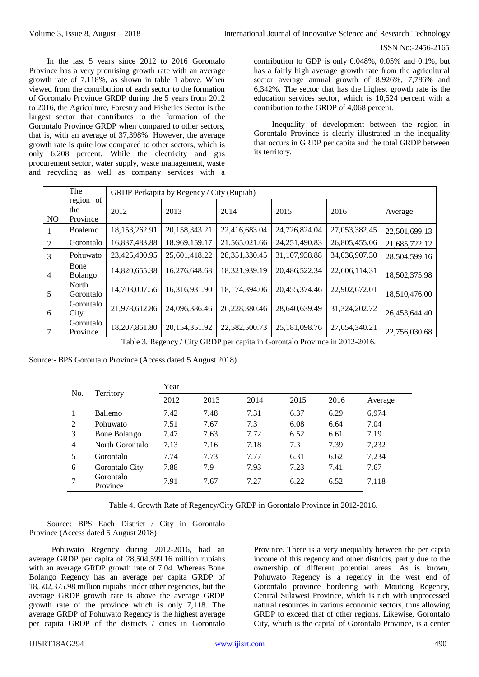In the last 5 years since 2012 to 2016 Gorontalo Province has a very promising growth rate with an average growth rate of 7.118%, as shown in table 1 above. When viewed from the contribution of each sector to the formation of Gorontalo Province GRDP during the 5 years from 2012 to 2016, the Agriculture, Forestry and Fisheries Sector is the largest sector that contributes to the formation of the Gorontalo Province GRDP when compared to other sectors, that is, with an average of 37,398%. However, the average growth rate is quite low compared to other sectors, which is only 6.208 percent. While the electricity and gas procurement sector, water supply, waste management, waste and recycling as well as company services with a contribution to GDP is only 0.048%, 0.05% and 0.1%, but has a fairly high average growth rate from the agricultural sector average annual growth of 8,926%, 7,786% and 6,342%. The sector that has the highest growth rate is the education services sector, which is 10,524 percent with a contribution to the GRDP of 4,068 percent.

Inequality of development between the region in Gorontalo Province is clearly illustrated in the inequality that occurs in GRDP per capita and the total GRDP between its territory.

|     | The                             |               | GRDP Perkapita by Regency / City (Rupiah) |               |                  |               |               |  |  |  |  |  |  |  |  |
|-----|---------------------------------|---------------|-------------------------------------------|---------------|------------------|---------------|---------------|--|--|--|--|--|--|--|--|
| NO. | of<br>region<br>the<br>Province | 2012          | 2013                                      | 2014          | 2015             | 2016          | Average       |  |  |  |  |  |  |  |  |
|     | Boalemo                         | 18,153,262.91 | 20,158,343.21                             | 22,416,683.04 | 24,726,824.04    | 27,053,382.45 | 22,501,699.13 |  |  |  |  |  |  |  |  |
| 2   | Gorontalo                       | 16,837,483.88 | 18,969,159.17                             | 21,565,021.66 | 24, 251, 490. 83 | 26,805,455.06 | 21,685,722.12 |  |  |  |  |  |  |  |  |
| 3   | Pohuwato                        | 23,425,400.95 | 25,601,418.22                             | 28,351,330.45 | 31,107,938.88    | 34,036,907.30 | 28,504,599.16 |  |  |  |  |  |  |  |  |
| 4   | Bone<br>Bolango                 | 14,820,655.38 | 16,276,648.68                             | 18,321,939.19 | 20,486,522.34    | 22,606,114.31 | 18,502,375.98 |  |  |  |  |  |  |  |  |
| 5   | North<br>Gorontalo              | 14,703,007.56 | 16,316,931.90                             | 18,174,394.06 | 20,455,374.46    | 22,902,672.01 | 18,510,476.00 |  |  |  |  |  |  |  |  |
| 6   | Gorontalo<br>City               | 21,978,612.86 | 24,096,386.46                             | 26,228,380.46 | 28,640,639.49    | 31,324,202.72 | 26,453,644.40 |  |  |  |  |  |  |  |  |
|     | Gorontalo<br>Province           | 18,207,861.80 | 20,154,351.92                             | 22,582,500.73 | 25,181,098.76    | 27,654,340.21 | 22,756,030.68 |  |  |  |  |  |  |  |  |

Table 3. Regency / City GRDP per capita in Gorontalo Province in 2012-2016.

Source:- BPS Gorontalo Province (Access dated 5 August 2018)

| No. |                       | Year |      |      |      |      |         |  |  |  |  |  |  |  |
|-----|-----------------------|------|------|------|------|------|---------|--|--|--|--|--|--|--|
|     | Territory             | 2012 | 2013 | 2014 | 2015 | 2016 | Average |  |  |  |  |  |  |  |
|     | <b>Ballemo</b>        | 7.42 | 7.48 | 7.31 | 6.37 | 6.29 | 6,974   |  |  |  |  |  |  |  |
| 2   | Pohuwato              | 7.51 | 7.67 | 7.3  | 6.08 | 6.64 | 7.04    |  |  |  |  |  |  |  |
| 3   | Bone Bolango          | 7.47 | 7.63 | 7.72 | 6.52 | 6.61 | 7.19    |  |  |  |  |  |  |  |
| 4   | North Gorontalo       | 7.13 | 7.16 | 7.18 | 7.3  | 7.39 | 7,232   |  |  |  |  |  |  |  |
| 5   | Gorontalo             | 7.74 | 7.73 | 7.77 | 6.31 | 6.62 | 7,234   |  |  |  |  |  |  |  |
| 6   | Gorontalo City        | 7.88 | 7.9  | 7.93 | 7.23 | 7.41 | 7.67    |  |  |  |  |  |  |  |
| 7   | Gorontalo<br>Province | 7.91 | 7.67 | 7.27 | 6.22 | 6.52 | 7,118   |  |  |  |  |  |  |  |

Table 4. Growth Rate of Regency/City GRDP in Gorontalo Province in 2012-2016.

Source: BPS Each District / City in Gorontalo Province (Access dated 5 August 2018)

Pohuwato Regency during 2012-2016, had an average GRDP per capita of 28,504,599.16 million rupiahs with an average GRDP growth rate of 7.04. Whereas Bone Bolango Regency has an average per capita GRDP of 18,502,375.98 million rupiahs under other regencies, but the average GRDP growth rate is above the average GRDP growth rate of the province which is only 7,118. The average GRDP of Pohuwato Regency is the highest average per capita GRDP of the districts / cities in Gorontalo

Province. There is a very inequality between the per capita income of this regency and other districts, partly due to the ownership of different potential areas. As is known, Pohuwato Regency is a regency in the west end of Gorontalo province bordering with Moutong Regency, Central Sulawesi Province, which is rich with unprocessed natural resources in various economic sectors, thus allowing GRDP to exceed that of other regions. Likewise, Gorontalo City, which is the capital of Gorontalo Province, is a center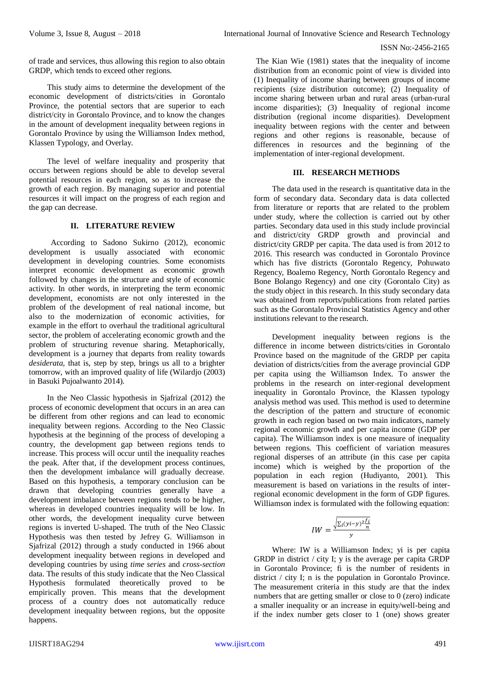of trade and services, thus allowing this region to also obtain GRDP, which tends to exceed other regions.

This study aims to determine the development of the economic development of districts/cities in Gorontalo Province, the potential sectors that are superior to each district/city in Gorontalo Province, and to know the changes in the amount of development inequality between regions in Gorontalo Province by using the Williamson Index method, Klassen Typology, and Overlay.

The level of welfare inequality and prosperity that occurs between regions should be able to develop several potential resources in each region, so as to increase the growth of each region. By managing superior and potential resources it will impact on the progress of each region and the gap can decrease.

# **II. LITERATURE REVIEW**

According to Sadono Sukirno (2012), economic development is usually associated with economic development in developing countries. Some economists interpret economic development as economic growth followed by changes in the structure and style of economic activity. In other words, in interpreting the term economic development, economists are not only interested in the problem of the development of real national income, but also to the modernization of economic activities, for example in the effort to overhaul the traditional agricultural sector, the problem of accelerating economic growth and the problem of structuring revenue sharing. Metaphorically, development is a journey that departs from reality towards *desiderata*, that is, step by step, brings us all to a brighter tomorrow, with an improved quality of life (Wilardjo (2003) in Basuki Pujoalwanto 2014).

In the Neo Classic hypothesis in Sjafrizal (2012) the process of economic development that occurs in an area can be different from other regions and can lead to economic inequality between regions. According to the Neo Classic hypothesis at the beginning of the process of developing a country, the development gap between regions tends to increase. This process will occur until the inequality reaches the peak. After that, if the development process continues, then the development imbalance will gradually decrease. Based on this hypothesis, a temporary conclusion can be drawn that developing countries generally have a development imbalance between regions tends to be higher, whereas in developed countries inequality will be low. In other words, the development inequality curve between regions is inverted U-shaped. The truth of the Neo Classic Hypothesis was then tested by Jefrey G. Williamson in Sjafrizal (2012) through a study conducted in 1966 about development inequality between regions in developed and developing countries by using *time series* and *cross-section* data. The results of this study indicate that the Neo Classical Hypothesis formulated theoretically proved to be empirically proven. This means that the development process of a country does not automatically reduce development inequality between regions, but the opposite happens.

The Kian Wie (1981) states that the inequality of income distribution from an economic point of view is divided into (1) Inequality of income sharing between groups of income recipients (size distribution outcome); (2) Inequality of income sharing between urban and rural areas (urban-rural income disparities); (3) Inequality of regional income distribution (regional income disparities). Development inequality between regions with the center and between regions and other regions is reasonable, because of differences in resources and the beginning of the implementation of inter-regional development.

# **III. RESEARCH METHODS**

The data used in the research is quantitative data in the form of secondary data. Secondary data is data collected from literature or reports that are related to the problem under study, where the collection is carried out by other parties. Secondary data used in this study include provincial and district/city GRDP growth and provincial and district/city GRDP per capita. The data used is from 2012 to 2016. This research was conducted in Gorontalo Province which has five districts (Gorontalo Regency, Pohuwato Regency, Boalemo Regency, North Gorontalo Regency and Bone Bolango Regency) and one city (Gorontalo City) as the study object in this research. In this study secondary data was obtained from reports/publications from related parties such as the Gorontalo Provincial Statistics Agency and other institutions relevant to the research.

Development inequality between regions is the difference in income between districts/cities in Gorontalo Province based on the magnitude of the GRDP per capita deviation of districts/cities from the average provincial GDP per capita using the Williamson Index. To answer the problems in the research on inter-regional development inequality in Gorontalo Province, the Klassen typology analysis method was used. This method is used to determine the description of the pattern and structure of economic growth in each region based on two main indicators, namely regional economic growth and per capita income (GDP per capita). The Williamson index is one measure of inequality between regions. This coefficient of variation measures regional disperses of an attribute (in this case per capita income) which is weighed by the proportion of the population in each region (Hudiyanto, 2001). This measurement is based on variations in the results of interregional economic development in the form of GDP figures. Williamson index is formulated with the following equation:

$$
IW = \frac{\sqrt{\sum_i (yi - y)^2 \frac{f_i}{n}}}{y}
$$

Where: IW is a Williamson Index; yi is per capita GRDP in district / city I; y is the average per capita GRDP in Gorontalo Province; fi is the number of residents in district / city I; n is the population in Gorontalo Province. The measurement criteria in this study are that the index numbers that are getting smaller or close to 0 (zero) indicate a smaller inequality or an increase in equity/well-being and if the index number gets closer to 1 (one) shows greater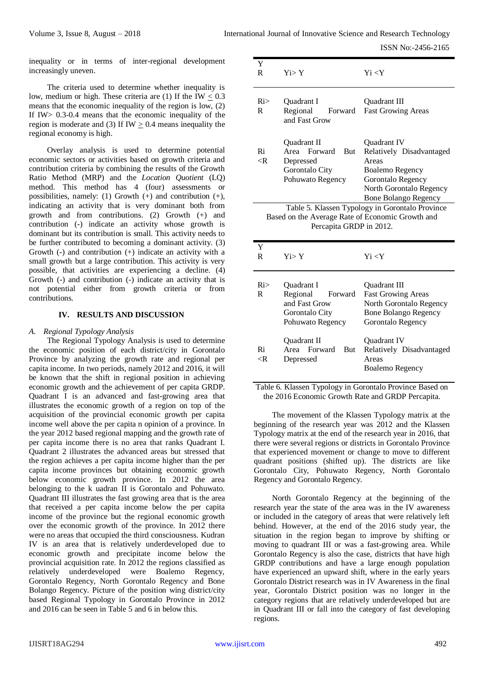inequality or in terms of inter-regional development increasingly uneven.

The criteria used to determine whether inequality is low, medium or high. These criteria are  $(1)$  If the IW  $< 0.3$ means that the economic inequality of the region is low, (2) If IW> 0.3-0.4 means that the economic inequality of the region is moderate and (3) If  $IW > 0.4$  means inequality the regional economy is high.

Overlay analysis is used to determine potential economic sectors or activities based on growth criteria and contribution criteria by combining the results of the Growth Ratio Method (MRP) and the *Location Quotient* (LQ) method. This method has 4 (four) assessments or possibilities, namely: (1) Growth  $(+)$  and contribution  $(+)$ , indicating an activity that is very dominant both from growth and from contributions. (2) Growth (+) and contribution (-) indicate an activity whose growth is dominant but its contribution is small. This activity needs to be further contributed to becoming a dominant activity. (3) Growth (-) and contribution (+) indicate an activity with a small growth but a large contribution. This activity is very possible, that activities are experiencing a decline. (4) Growth (-) and contribution (-) indicate an activity that is not potential either from growth criteria or from contributions.

#### **IV. RESULTS AND DISCUSSION**

#### *A. Regional Typology Analysis*

The Regional Typology Analysis is used to determine the economic position of each district/city in Gorontalo Province by analyzing the growth rate and regional per capita income. In two periods, namely 2012 and 2016, it will be known that the shift in regional position in achieving economic growth and the achievement of per capita GRDP. Quadrant I is an advanced and fast-growing area that illustrates the economic growth of a region on top of the acquisition of the provincial economic growth per capita income well above the per capita n opinion of a province. In the year 2012 based regional mapping and the growth rate of per capita income there is no area that ranks Quadrant I. Quadrant 2 illustrates the advanced areas but stressed that the region achieves a per capita income higher than the per capita income provinces but obtaining economic growth below economic growth province. In 2012 the area belonging to the k uadran II is Gorontalo and Pohuwato. Quadrant III illustrates the fast growing area that is the area that received a per capita income below the per capita income of the province but the regional economic growth over the economic growth of the province. In 2012 there were no areas that occupied the third consciousness. Kudran IV is an area that is relatively underdeveloped due to economic growth and precipitate income below the provincial acquisition rate. In 2012 the regions classified as relatively underdeveloped were Boalemo Regency, Gorontalo Regency, North Gorontalo Regency and Bone Bolango Regency. Picture of the position wing district/city based Regional Typology in Gorontalo Province in 2012 and 2016 can be seen in Table 5 and 6 in below this.

| Y<br>R                                                                                                                         | $Y_i > Y$                                                                          | $Y_i < Y$                                                                                                                                          |  |  |  |  |  |  |
|--------------------------------------------------------------------------------------------------------------------------------|------------------------------------------------------------------------------------|----------------------------------------------------------------------------------------------------------------------------------------------------|--|--|--|--|--|--|
| Ri><br>R                                                                                                                       | <b>Ouadrant I</b><br>Regional<br>and Fast Grow                                     | Quadrant III<br>Forward Fast Growing Areas                                                                                                         |  |  |  |  |  |  |
| Ri<br>$\langle R \rangle$                                                                                                      | Quadrant II<br>Area Forward But<br>Depressed<br>Gorontalo City<br>Pohuwato Regency | Quadrant IV<br>Relatively Disadvantaged<br>Areas<br>Boalemo Regency<br>Gorontalo Regency<br>North Gorontalo Regency<br><b>Bone Bolango Regency</b> |  |  |  |  |  |  |
| Table 5. Klassen Typology in Gorontalo Province<br>Based on the Average Rate of Economic Growth and<br>Percapita GRDP in 2012. |                                                                                    |                                                                                                                                                    |  |  |  |  |  |  |
| Y<br>R                                                                                                                         | $Y_i > Y$                                                                          | Yi < Y                                                                                                                                             |  |  |  |  |  |  |

| Ri><br>R          | <b>Ouadrant I</b><br>Regional<br>Forward<br>and Fast Grow<br>Gorontalo City<br>Pohuwato Regency | <b>Ouadrant III</b><br><b>Fast Growing Areas</b><br>North Gorontalo Regency<br><b>Bone Bolango Regency</b><br>Gorontalo Regency |
|-------------------|-------------------------------------------------------------------------------------------------|---------------------------------------------------------------------------------------------------------------------------------|
| Ri<br>$\langle R$ | <b>Ouadrant II</b><br>Area Forward<br><b>But</b><br>Depressed                                   | <b>Ouadrant IV</b><br>Relatively Disadvantaged<br>Areas<br>Boalemo Regency                                                      |

Table 6. Klassen Typology in Gorontalo Province Based on the 2016 Economic Growth Rate and GRDP Percapita.

The movement of the Klassen Typology matrix at the beginning of the research year was 2012 and the Klassen Typology matrix at the end of the research year in 2016, that there were several regions or districts in Gorontalo Province that experienced movement or change to move to different quadrant positions (shifted up). The districts are like Gorontalo City, Pohuwato Regency, North Gorontalo Regency and Gorontalo Regency.

North Gorontalo Regency at the beginning of the research year the state of the area was in the IV awareness or included in the category of areas that were relatively left behind. However, at the end of the 2016 study year, the situation in the region began to improve by shifting or moving to quadrant III or was a fast-growing area. While Gorontalo Regency is also the case, districts that have high GRDP contributions and have a large enough population have experienced an upward shift, where in the early years Gorontalo District research was in IV Awareness in the final year, Gorontalo District position was no longer in the category regions that are relatively underdeveloped but are in Quadrant III or fall into the category of fast developing regions.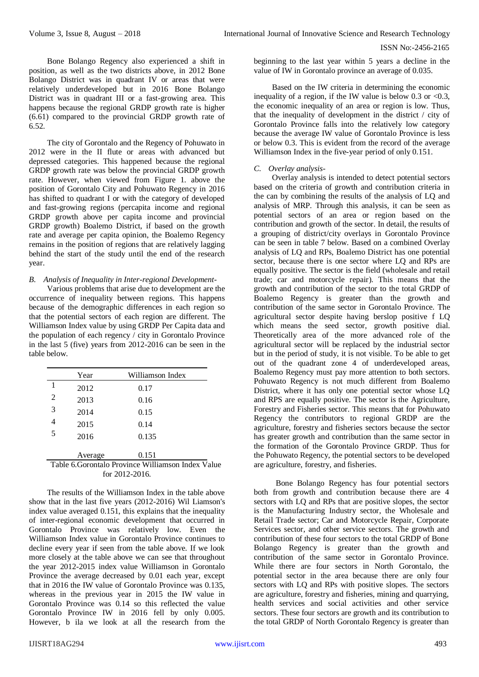Bone Bolango Regency also experienced a shift in position, as well as the two districts above, in 2012 Bone Bolango District was in quadrant IV or areas that were relatively underdeveloped but in 2016 Bone Bolango District was in quadrant III or a fast-growing area. This happens because the regional GRDP growth rate is higher (6.61) compared to the provincial GRDP growth rate of 6.52.

The city of Gorontalo and the Regency of Pohuwato in 2012 were in the II flute or areas with advanced but depressed categories. This happened because the regional GRDP growth rate was below the provincial GRDP growth rate. However, when viewed from Figure 1. above the position of Gorontalo City and Pohuwato Regency in 2016 has shifted to quadrant I or with the category of developed and fast-growing regions (percapita income and regional GRDP growth above per capita income and provincial GRDP growth) Boalemo District, if based on the growth rate and average per capita opinion, the Boalemo Regency remains in the position of regions that are relatively lagging behind the start of the study until the end of the research year.

#### *B. Analysis of Inequality in Inter-regional Development-*

Various problems that arise due to development are the occurrence of inequality between regions. This happens because of the demographic differences in each region so that the potential sectors of each region are different. The Williamson Index value by using GRDP Per Capita data and the population of each regency / city in Gorontalo Province in the last 5 (five) years from 2012-2016 can be seen in the table below.

|                                                    | Year    | Williamson Index |  |  |  |  |  |  |  |
|----------------------------------------------------|---------|------------------|--|--|--|--|--|--|--|
|                                                    | 2012    | 0.17             |  |  |  |  |  |  |  |
| 2                                                  | 2013    | 0.16             |  |  |  |  |  |  |  |
| 3                                                  | 2014    | 0.15             |  |  |  |  |  |  |  |
| 4                                                  | 2015    | 0.14             |  |  |  |  |  |  |  |
| 5                                                  | 2016    | 0.135            |  |  |  |  |  |  |  |
|                                                    |         |                  |  |  |  |  |  |  |  |
|                                                    | Average | 0.151            |  |  |  |  |  |  |  |
| Table 6. Gorontalo Province Williamson Index Value |         |                  |  |  |  |  |  |  |  |

# for 2012-2016.

The results of the Williamson Index in the table above show that in the last five years (2012-2016) Wil Liamson's index value averaged 0.151, this explains that the inequality of inter-regional economic development that occurred in Gorontalo Province was relatively low. Even the Williamson Index value in Gorontalo Province continues to decline every year if seen from the table above. If we look more closely at the table above we can see that throughout the year 2012-2015 index value Williamson in Gorontalo Province the average decreased by 0.01 each year, except that in 2016 the IW value of Gorontalo Province was 0.135, whereas in the previous year in 2015 the IW value in Gorontalo Province was 0.14 so this reflected the value Gorontalo Province IW in 2016 fell by only 0.005. However, b ila we look at all the research from the

beginning to the last year within 5 years a decline in the value of IW in Gorontalo province an average of 0.035.

Based on the IW criteria in determining the economic inequality of a region, if the IW value is below 0.3 or  $\langle 0.3, \rangle$ the economic inequality of an area or region is low. Thus, that the inequality of development in the district / city of Gorontalo Province falls into the relatively low category because the average IW value of Gorontalo Province is less or below 0.3. This is evident from the record of the average Williamson Index in the five-year period of only 0.151.

# *C. Overlay analysis-*

Overlay analysis is intended to detect potential sectors based on the criteria of growth and contribution criteria in the can by combining the results of the analysis of LQ and analysis of MRP. Through this analysis, it can be seen as potential sectors of an area or region based on the contribution and growth of the sector. In detail, the results of a grouping of district/city overlays in Gorontalo Province can be seen in table 7 below. Based on a combined Overlay analysis of LQ and RPs, Boalemo District has one potential sector, because there is one sector where LQ and RPs are equally positive. The sector is the field (wholesale and retail trade; car and motorcycle repair). This means that the growth and contribution of the sector to the total GRDP of Boalemo Regency is greater than the growth and contribution of the same sector in Gorontalo Province. The agricultural sector despite having berslop positive f LQ which means the seed sector, growth positive dial. Theoretically area of the more advanced role of the agricultural sector will be replaced by the industrial sector but in the period of study, it is not visible. To be able to get out of the quadrant zone 4 of underdeveloped areas, Boalemo Regency must pay more attention to both sectors. Pohuwato Regency is not much different from Boalemo District, where it has only one potential sector whose LQ and RPS are equally positive. The sector is the Agriculture, Forestry and Fisheries sector. This means that for Pohuwato Regency the contributors to regional GRDP are the agriculture, forestry and fisheries sectors because the sector has greater growth and contribution than the same sector in the formation of the Gorontalo Province GRDP. Thus for the Pohuwato Regency, the potential sectors to be developed are agriculture, forestry, and fisheries.

Bone Bolango Regency has four potential sectors both from growth and contribution because there are 4 sectors with LQ and RPs that are positive slopes, the sector is the Manufacturing Industry sector, the Wholesale and Retail Trade sector; Car and Motorcycle Repair, Corporate Services sector, and other service sectors. The growth and contribution of these four sectors to the total GRDP of Bone Bolango Regency is greater than the growth and contribution of the same sector in Gorontalo Province. While there are four sectors in North Gorontalo, the potential sector in the area because there are only four sectors with LQ and RPs with positive slopes. The sectors are agriculture, forestry and fisheries, mining and quarrying, health services and social activities and other service sectors. These four sectors are growth and its contribution to the total GRDP of North Gorontalo Regency is greater than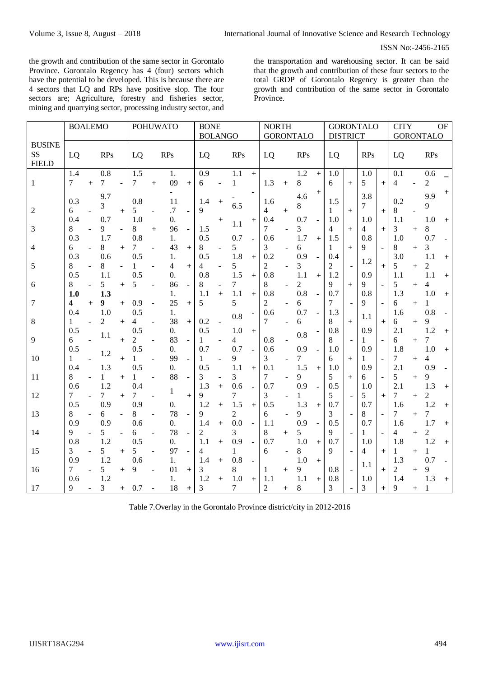the growth and contribution of the same sector in Gorontalo Province. Gorontalo Regency has 4 (four) sectors which have the potential to be developed. This is because there are 4 sectors that LQ and RPs have positive slop. The four sectors are; Agriculture, forestry and fisheries sector, mining and quarrying sector, processing industry sector, and

the transportation and warehousing sector. It can be said that the growth and contribution of these four sectors to the total GRDP of Gorontalo Regency is greater than the growth and contribution of the same sector in Gorontalo Province.

|                | <b>BOALEMO</b> |                |            |           | <b>POHUWATO</b> |        |                  |                | <b>BONE</b> |                |                |                  | <b>NORTH</b>   |           |                 |           | <b>GORONTALO</b> |        |                  |                | <b>CITY</b><br><b>OF</b> |        |                |                |
|----------------|----------------|----------------|------------|-----------|-----------------|--------|------------------|----------------|-------------|----------------|----------------|------------------|----------------|-----------|-----------------|-----------|------------------|--------|------------------|----------------|--------------------------|--------|----------------|----------------|
|                |                |                |            |           |                 |        |                  |                |             | <b>BOLANGO</b> |                | <b>GORONTALO</b> |                |           | <b>DISTRICT</b> |           |                  |        | <b>GORONTALO</b> |                |                          |        |                |                |
| <b>BUSINE</b>  |                |                |            |           |                 |        |                  |                |             |                |                |                  |                |           |                 |           |                  |        |                  |                |                          |        |                |                |
| SS             | LQ             |                | <b>RPs</b> |           | LQ              |        | <b>RPs</b>       |                | LQ          |                | <b>RPs</b>     |                  | LQ             |           | <b>RPs</b>      |           | LQ               |        | <b>RPs</b>       |                | LQ                       |        | <b>RPs</b>     |                |
| <b>FIELD</b>   |                |                |            |           |                 |        |                  |                |             |                |                |                  |                |           |                 |           |                  |        |                  |                |                          |        |                |                |
|                | 1.4            |                | 0.8        |           | 1.5             |        | 1.               |                | 0.9         |                | 1.1            | $+$              |                |           | 1.2             | $\ddot{}$ | 1.0              |        | 1.0              |                | 0.1                      |        | 0.6            |                |
| 1              | 7              | $+$            | 7          |           | $\tau$          | $+$    | 09               | $^{+}$         | 6           |                | 1              |                  | 1.3            | $^{+}$    | 8               |           | 6                | $+$    | 5                | $+$            | 4                        |        | $\overline{2}$ |                |
|                |                |                | 9.7        |           |                 |        |                  |                |             |                |                |                  |                |           | 4.6             | $^{+}$    |                  |        | 3.8              |                |                          |        | 9.9            | $\ddot{}$      |
|                | 0.3            |                | 3          |           | 0.8             |        | 11               |                | 1.4         | $^{+}$         | 6.5            |                  | 1.6            |           | 8               |           | 1.5              |        | 7                |                | 0.2                      |        | 9              |                |
| $\overline{2}$ | 6              |                |            | $+$       | 5               |        | $\cdot$ 7        | $\blacksquare$ | $\mathbf Q$ |                |                |                  | $\overline{4}$ | $^{+}$    |                 |           | 1                | $^{+}$ |                  | $+$            | 8                        |        |                |                |
|                | 0.4            |                | 0.7        |           | 1.0             |        | $\overline{0}$ . |                |             | $^{+}$         | 1.1            | $\ddot{}$        | 0.4            |           | 0.7             |           | 1.0              |        | 1.0              |                | 1.1                      |        | 1.0            | $+$            |
| 3              | 8              |                | 9          |           | 8               | $^{+}$ | 96               | $\blacksquare$ | 1.5         |                |                |                  | 7              |           | 3               |           | 4                | $^{+}$ | 4                | $+$            | 3                        | $^{+}$ | 8              |                |
|                | 0.3            |                | 1.7        |           | 0.8             |        | 1.               |                | 0.5         |                | 0.7            |                  | 0.6            |           | 1.7             | $+$       | 1.5              |        | 0.8              |                | 1.0                      |        | 0.7            |                |
| 4              | 6              |                | 8          | $^{+}$    | 7               |        | 43               | $+$            | 8           |                | 5              |                  | 3              |           | 6               |           | 1                | $^{+}$ | $\mathbf Q$      | $\blacksquare$ | 8                        | $^{+}$ | 3              |                |
|                | 0.3            |                | 0.6        |           | 0.5             |        | 1.               |                | 0.5         |                | 1.8            | $\ddot{}$        | 0.2            |           | 0.9             |           | 0.4              |        | 1.2              |                | 3.0                      |        | 1.1            | $\, +$         |
| 5              | 8              |                | 8          |           |                 |        | 4                | $+$            | 4           |                | 5              |                  | $\overline{c}$ |           | 3               |           | $\overline{c}$   |        |                  | $+$            | 5                        | $^{+}$ | $\overline{2}$ |                |
|                | 0.5            |                | 1.1        |           | 0.5             |        | $\theta$ .       |                | 0.8         |                | 1.5            | $+$              | 0.8            |           | 1.1             | $+$       | 1.2              |        | 0.9              |                | 1.1                      |        | 1.1            | $^{+}$         |
| 6              | 8              |                | 5          | $+$       | 5               |        | 86               | $\blacksquare$ | 8           |                | 7              |                  | 8              |           | $\overline{c}$  |           | 9                | $^{+}$ | 9                | $\blacksquare$ | 5                        | $^{+}$ | 4              |                |
|                | 1.0            |                | 1.3        |           |                 |        | 1.               |                | 1.1         | $+$            | 1.1            | $+$              | 0.8            |           | 0.8             |           | 0.7              |        | 0.8              |                | 1.3                      |        | 1.0            | $+$            |
| 7              | 4              | $\ddot{}$      | 9          | $+$       | 0.9             |        | 25               | $\ddot{}$      | 5           |                | 5              |                  | $\overline{2}$ |           | 6               |           | 7                |        | 9                | J.             | 6                        | $^{+}$ | 1              |                |
|                | 0.4            |                | 1.0        |           | 0.5             |        | 1.               |                |             |                | 0.8            |                  | 0.6            |           | 0.7             |           | 1.3              |        | 1.1              |                | 1.6                      |        | 0.8            |                |
| 8              | 1              | $\overline{a}$ | 2          | $+$       | 4               |        | 38               | $+$            | 0.2         |                |                |                  | 7              |           | 6               |           | 8                | $^{+}$ |                  | $+$            | 6                        | $^{+}$ | 9              |                |
|                | 0.5            |                | 1.1        |           | 0.5             |        | 0.               |                | 0.5         |                | 1.0            | $+$              |                |           | 0.8             |           | 0.8              |        | 0.9              |                | 2.1                      |        | 1.2            | $+$            |
| 9              | 6              |                |            | $\ddot{}$ | 2               |        | 83               | $\blacksquare$ |             |                | 4              |                  | 0.8            |           |                 |           | 8                |        | 1                | $\blacksquare$ | 6                        | $^{+}$ | 7              |                |
|                | 0.5            |                | 1.2        |           | 0.5             |        | 0.               |                | 0.7         |                | 0.7            |                  | 0.6            |           | 0.9             |           | 1.0              |        | 0.9              |                | 1.8                      |        | 1.0            | $+$            |
| 10             | 1              |                |            | $+$       | 1               |        | 99               |                |             |                | 9              |                  | 3              |           | 7               |           | 6                | $^{+}$ | 1                |                | 7                        | $^{+}$ | 4              |                |
|                | 0.4            |                | 1.3        |           | 0.5             |        | $\overline{0}$ . |                | 0.5         |                | 1.1            | $+$              | 0.1            |           | 1.5             | $+$       | 1.0              |        | 0.9              |                | 2.1                      |        | 0.9            |                |
| 11             | 8              |                | 1          | $\ddot{}$ | 1               |        | 88               |                | 3           |                | 3              |                  | 7              |           | 9               |           | 5                | $^{+}$ | 6                |                | 5                        | $^{+}$ | 9              |                |
|                | 0.6            |                | 1.2        |           | 0.4             |        | 1                |                | 1.3         | $+$            | 0.6            |                  | 0.7            |           | 0.9             |           | 0.5              |        | 1.0              |                | 2.1                      |        | 1.3            | $\overline{+}$ |
| 12             | 7              |                | 7          | $\ddot{}$ | 7               |        |                  | $\ddot{}$      | Q           |                | 7              |                  | 3              |           |                 |           | 5                |        | 5                | $\ddot{}$      | 7                        | $^{+}$ | $\overline{2}$ |                |
|                | 0.5            |                | 0.9        |           | 0.9             |        | 0.               |                | 1.2         | $+$            | 1.5            | $+$              | 0.5            |           | 1.3             | $+$       | 0.7              |        | 0.7              |                | 1.6                      |        | 1.2            | $+$            |
| 13             | 8              |                | 6          |           | 8               |        | 78               |                | 9           |                | $\overline{c}$ |                  | 6              |           | 9               |           | 3                |        | 8                | ä,             | 7                        | $^{+}$ | 7              |                |
|                | 0.9            |                | 0.9        |           | 0.6             |        | 0.               |                | 1.4         | $+$            | 0.0            |                  | 1.1            |           | 0.9             | ä,        | 0.5              |        | 0.7              |                | 1.6                      |        | 1.7            | $+$            |
| 14             | 9              |                | 5          |           | 6               |        | 78               |                | 2           |                | 3              |                  | 8              | $^{+}$    | 5               |           | $\mathbf Q$      |        | 1                |                | 4                        | $^{+}$ | $\overline{2}$ |                |
|                | 0.8            |                | 1.2        |           | 0.5             |        | $\overline{0}$ . |                | 1.1         | $^{+}$         | 0.9            |                  | 0.7            |           | 1.0             | $+$       | 0.7              |        | 1.0              |                | 1.8                      |        | 1.2            | $\ddot{}$      |
| 15             | 3              |                | 5          | $\ddot{}$ | 5               |        | 97               |                | 4           |                | 1              |                  | 6              |           | 8               |           | 9                |        | 4                | $\ddot{}$      | 1                        | $^{+}$ | 1              |                |
|                | 0.9            |                | 1.2        |           | 0.6             |        | 1.               |                | 1.4         | $+$            | 0.8            |                  |                |           | 1.0             | $+$       |                  |        | 1.1              |                | 1.3                      |        | 0.7            |                |
| 16             | 7              |                | 5          | $^{+}$    | 9               |        | 01               | $+$            | 3           |                | 8              |                  | 1              | $\ddot{}$ | 9               |           | 0.8              |        |                  | $+$            | 2                        | $^{+}$ | 9              |                |
|                | 0.6            |                | 1.2        |           |                 |        | 1.               |                | 1.2         | $^{+}$         | 1.0            | $+$              | 1.1            |           | 1.1             | $+$       | 0.8              |        | 1.0              |                | 1.4                      |        | 1.3            | $+$            |
| 17             | 9              |                | 3          | $^{+}$    | 0.7             |        | 18               | $^+$           | 3           |                | 7              |                  | $\overline{2}$ | $^{+}$    | 8               |           | 3                |        | 3                | $\pm$          | 9                        | $^{+}$ |                |                |

Table 7.Overlay in the Gorontalo Province district/city in 2012-2016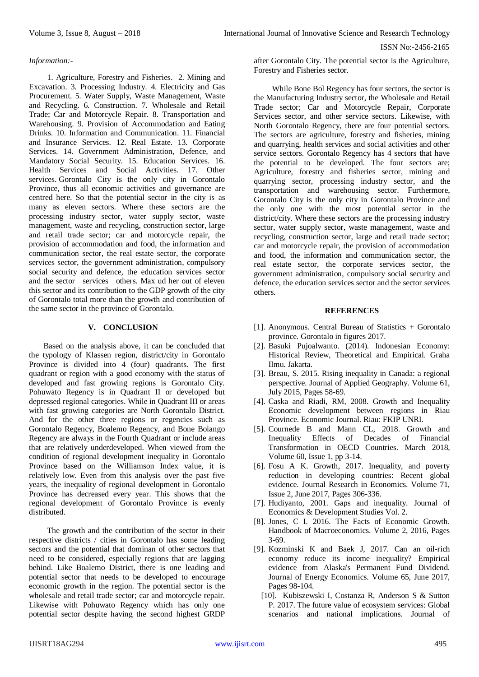#### *Information:-*

1. Agriculture, Forestry and Fisheries. 2. Mining and Excavation. 3. Processing Industry. 4. Electricity and Gas Procurement. 5. Water Supply, Waste Management, Waste and Recycling. 6. Construction. 7. Wholesale and Retail Trade; Car and Motorcycle Repair. 8. Transportation and Warehousing. 9. Provision of Accommodation and Eating Drinks. 10. Information and Communication. 11. Financial and Insurance Services. 12. Real Estate. 13. Corporate Services. 14. Government Administration, Defence, and Mandatory Social Security. 15. Education Services. 16. Health Services and Social Activities. 17. Other services. Gorontalo City is the only city in Gorontalo Province, thus all economic activities and governance are centred here. So that the potential sector in the city is as many as eleven sectors. Where these sectors are the processing industry sector, water supply sector, waste management, waste and recycling, construction sector, large and retail trade sector; car and motorcycle repair, the provision of accommodation and food, the information and communication sector, the real estate sector, the corporate services sector, the government administration, compulsory social security and defence, the education services sector and the sector services others. Max ud her out of eleven this sector and its contribution to the GDP growth of the city of Gorontalo total more than the growth and contribution of the same sector in the province of Gorontalo.

#### **V. CONCLUSION**

Based on the analysis above, it can be concluded that the typology of Klassen region, district/city in Gorontalo Province is divided into 4 (four) quadrants. The first quadrant or region with a good economy with the status of developed and fast growing regions is Gorontalo City. Pohuwato Regency is in Quadrant II or developed but depressed regional categories. While in Quadrant III or areas with fast growing categories are North Gorontalo District. And for the other three regions or regencies such as Gorontalo Regency, Boalemo Regency, and Bone Bolango Regency are always in the Fourth Quadrant or include areas that are relatively underdeveloped. When viewed from the condition of regional development inequality in Gorontalo Province based on the Williamson Index value, it is relatively low. Even from this analysis over the past five years, the inequality of regional development in Gorontalo Province has decreased every year. This shows that the regional development of Gorontalo Province is evenly distributed.

The growth and the contribution of the sector in their respective districts / cities in Gorontalo has some leading sectors and the potential that dominan of other sectors that need to be considered, especially regions that are lagging behind. Like Boalemo District, there is one leading and potential sector that needs to be developed to encourage economic growth in the region. The potential sector is the wholesale and retail trade sector; car and motorcycle repair. Likewise with Pohuwato Regency which has only one potential sector despite having the second highest GRDP

after Gorontalo City. The potential sector is the Agriculture, Forestry and Fisheries sector.

While Bone Bol Regency has four sectors, the sector is the Manufacturing Industry sector, the Wholesale and Retail Trade sector; Car and Motorcycle Repair, Corporate Services sector, and other service sectors. Likewise, with North Gorontalo Regency, there are four potential sectors. The sectors are agriculture, forestry and fisheries, mining and quarrying, health services and social activities and other service sectors. Gorontalo Regency has 4 sectors that have the potential to be developed. The four sectors are; Agriculture, forestry and fisheries sector, mining and quarrying sector, processing industry sector, and the transportation and warehousing sector. Furthermore, Gorontalo City is the only city in Gorontalo Province and the only one with the most potential sector in the district/city. Where these sectors are the processing industry sector, water supply sector, waste management, waste and recycling, construction sector, large and retail trade sector; car and motorcycle repair, the provision of accommodation and food, the information and communication sector, the real estate sector, the corporate services sector, the government administration, compulsory social security and defence, the education services sector and the sector services others.

#### **REFERENCES**

- [1]. Anonymous. Central Bureau of Statistics + Gorontalo province. Gorontalo in figures 2017.
- [2]. Basuki Pujoalwanto. (2014). Indonesian Economy: Historical Review, Theoretical and Empirical. Graha Ilmu. Jakarta.
- [3]. Breau, S. 2015. Rising inequality in Canada: a regional perspective. Journal of Applied Geography. Volume 61, July 2015, Pages 58-69.
- [4]. Caska and Riadi, RM, 2008. Growth and Inequality Economic development between regions in Riau Province. Economic Journal. Riau: FKIP UNRI.
- [5]. Cournede B and Mann CL, 2018. Growth and Inequality Effects of Decades of Financial Transformation in OECD Countries. March 2018, Volume 60, Issue 1, pp 3-14.
- [6]. Fosu A K. Growth, 2017. Inequality, and poverty reduction in developing countries: Recent global evidence. Journal Research in Economics. Volume 71, Issue 2, June 2017, Pages 306-336.
- [7]. Hudiyanto, 2001. Gaps and inequality. Journal of Economics & Development Studies Vol. 2.
- [8]. Jones, C I. 2016. The Facts of Economic Growth. Handbook of Macroeconomics. Volume 2, 2016, Pages 3-69.
- [9]. Kozminski K and Baek J, 2017. Can an oil-rich economy reduce its income inequality? Empirical evidence from Alaska's Permanent Fund Dividend. Journal of Energy Economics. Volume 65, June 2017, Pages 98-104.
	- [10]. Kubiszewski I, Costanza R, Anderson S & Sutton P. 2017. The future value of ecosystem services: Global scenarios and national implications. Journal of